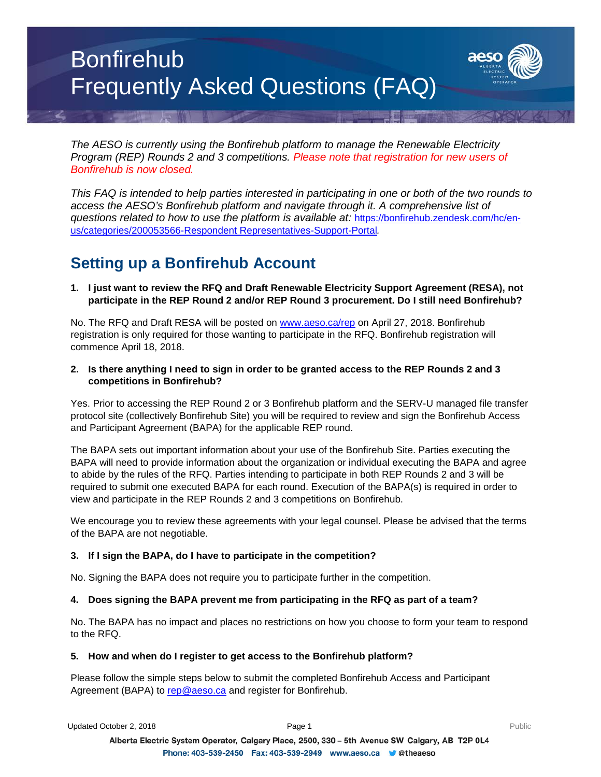# Bonfirehub Frequently Asked Questions (FAQ)



*The AESO is currently using the Bonfirehub platform to manage the Renewable Electricity Program (REP) Rounds 2 and 3 competitions. Please note that registration for new users of Bonfirehub is now closed.*

*This FAQ is intended to help parties interested in participating in one or both of the two rounds to access the AESO's Bonfirehub platform and navigate through it. A comprehensive list of questions related to how to use the platform is available at:* [https://bonfirehub.zendesk.com/hc/en](https://bonfirehub.zendesk.com/hc/en-us/categories/200053566-Vendors-Support-Portal)[us/categories/200053566-Respondent Representatives-Support-Portal](https://bonfirehub.zendesk.com/hc/en-us/categories/200053566-Vendors-Support-Portal)*.*

# **Setting up a Bonfirehub Account**

**1. I just want to review the RFQ and Draft Renewable Electricity Support Agreement (RESA), not participate in the REP Round 2 and/or REP Round 3 procurement. Do I still need Bonfirehub?**

No. The RFQ and Draft RESA will be posted on [www.aeso.ca/rep](http://www.aeso.ca/rep) on April 27, 2018. Bonfirehub registration is only required for those wanting to participate in the RFQ. Bonfirehub registration will commence April 18, 2018.

**2. Is there anything I need to sign in order to be granted access to the REP Rounds 2 and 3 competitions in Bonfirehub?**

Yes. Prior to accessing the REP Round 2 or 3 Bonfirehub platform and the SERV-U managed file transfer protocol site (collectively Bonfirehub Site) you will be required to review and sign the Bonfirehub Access and Participant Agreement (BAPA) for the applicable REP round.

The BAPA sets out important information about your use of the Bonfirehub Site. Parties executing the BAPA will need to provide information about the organization or individual executing the BAPA and agree to abide by the rules of the RFQ. Parties intending to participate in both REP Rounds 2 and 3 will be required to submit one executed BAPA for each round. Execution of the BAPA(s) is required in order to view and participate in the REP Rounds 2 and 3 competitions on Bonfirehub.

We encourage you to review these agreements with your legal counsel. Please be advised that the terms of the BAPA are not negotiable.

# **3. If I sign the BAPA, do I have to participate in the competition?**

No. Signing the BAPA does not require you to participate further in the competition.

# **4. Does signing the BAPA prevent me from participating in the RFQ as part of a team?**

No. The BAPA has no impact and places no restrictions on how you choose to form your team to respond to the RFQ.

# **5. How and when do I register to get access to the Bonfirehub platform?**

Please follow the simple steps below to submit the completed Bonfirehub Access and Participant Agreement (BAPA) to [rep@aeso.ca](mailto:rep@aeso.ca) and register for Bonfirehub.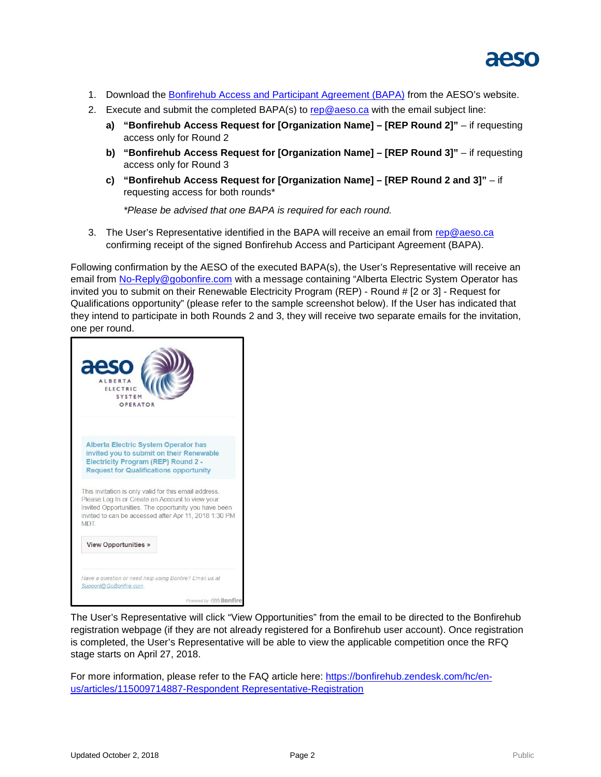

- 1. Download the [Bonfirehub Access and Participant Agreement \(BAPA\)](https://www.aeso.ca/assets/Uploads/REP-Bonfire-Online-Site-Access-Agreement-04-17-18.pdf) from the AESO's website.
- 2. Execute and submit the completed BAPA(s) to [rep@aeso.ca](mailto:rep@aeso.ca) with the email subject line:
	- **a) "Bonfirehub Access Request for [Organization Name] – [REP Round 2]"** if requesting access only for Round 2
	- **b) "Bonfirehub Access Request for [Organization Name] – [REP Round 3]"** if requesting access only for Round 3
	- **c) "Bonfirehub Access Request for [Organization Name] – [REP Round 2 and 3]"** if requesting access for both rounds\*

*\*Please be advised that one BAPA is required for each round.*

3. The User's Representative identified in the BAPA will receive an email from [rep@aeso.ca](mailto:rep@aeso.ca) confirming receipt of the signed Bonfirehub Access and Participant Agreement (BAPA).

Following confirmation by the AESO of the executed BAPA(s), the User's Representative will receive an email from [No-Reply@gobonfire.com](mailto:No-Reply@gobonfire.com) with a message containing "Alberta Electric System Operator has invited you to submit on their Renewable Electricity Program (REP) - Round # [2 or 3] - Request for Qualifications opportunity" (please refer to the sample screenshot below). If the User has indicated that they intend to participate in both Rounds 2 and 3, they will receive two separate emails for the invitation, one per round.

| aeso<br><b>ALBERTA</b><br>ELECTRIC<br><b>SYSTEM</b><br>OPERATOR                                                                                                                                                                         |  |  |
|-----------------------------------------------------------------------------------------------------------------------------------------------------------------------------------------------------------------------------------------|--|--|
| <b>Alberta Electric System Operator has</b><br>invited you to submit on their Renewable<br>Electricity Program (REP) Round 2 -<br><b>Request for Qualifications opportunity</b>                                                         |  |  |
| This invitation is only valid for this email address.<br>Please Log In or Create an Account to view your<br>Invited Opportunities. The opportunity you have been<br>invited to can be accessed after Apr 11, 2018 1:30 PM<br><b>MDT</b> |  |  |
| <b>View Opportunities »</b>                                                                                                                                                                                                             |  |  |
| Have a question or need help using Bonfire? Email us at<br>Support@GoBonfire.com.<br>Powered by 000 Bonfire                                                                                                                             |  |  |

The User's Representative will click "View Opportunities" from the email to be directed to the Bonfirehub registration webpage (if they are not already registered for a Bonfirehub user account). Once registration is completed, the User's Representative will be able to view the applicable competition once the RFQ stage starts on April 27, 2018.

For more information, please refer to the FAQ article here: [https://bonfirehub.zendesk.com/hc/en](https://bonfirehub.zendesk.com/hc/en-us/articles/115009714887-Vendor-Registration)[us/articles/115009714887-Respondent Representative-Registration](https://bonfirehub.zendesk.com/hc/en-us/articles/115009714887-Vendor-Registration)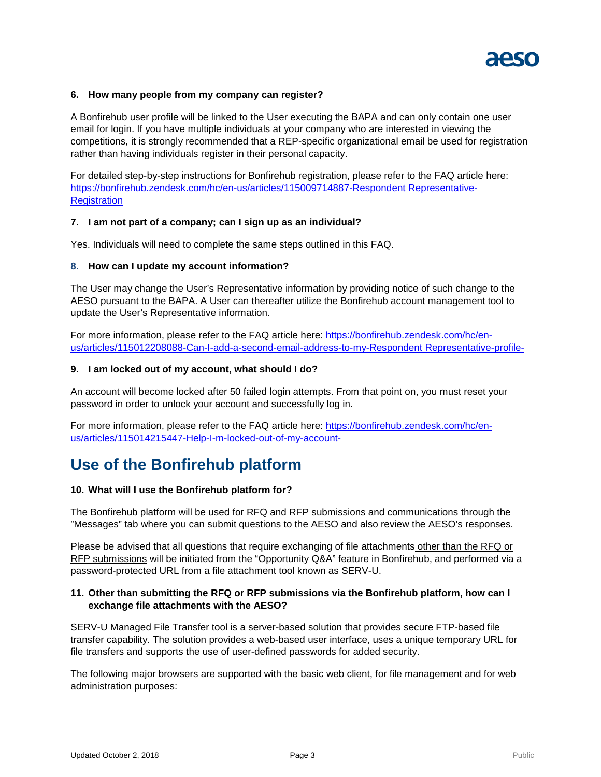

### **6. How many people from my company can register?**

A Bonfirehub user profile will be linked to the User executing the BAPA and can only contain one user email for login. If you have multiple individuals at your company who are interested in viewing the competitions, it is strongly recommended that a REP-specific organizational email be used for registration rather than having individuals register in their personal capacity.

For detailed step-by-step instructions for Bonfirehub registration, please refer to the FAQ article here: [https://bonfirehub.zendesk.com/hc/en-us/articles/115009714887-Respondent Representative-](https://bonfirehub.zendesk.com/hc/en-us/articles/115009714887-Vendor-Registration)**[Registration](https://bonfirehub.zendesk.com/hc/en-us/articles/115009714887-Vendor-Registration)** 

#### **7. I am not part of a company; can I sign up as an individual?**

Yes. Individuals will need to complete the same steps outlined in this FAQ.

#### **8. How can I update my account information?**

The User may change the User's Representative information by providing notice of such change to the AESO pursuant to the BAPA. A User can thereafter utilize the Bonfirehub account management tool to update the User's Representative information.

For more information, please refer to the FAQ article here: [https://bonfirehub.zendesk.com/hc/en](https://bonfirehub.zendesk.com/hc/en-us/articles/115012208088-Can-I-add-a-second-email-address-to-my-vendor-profile-)[us/articles/115012208088-Can-I-add-a-second-email-address-to-my-Respondent Representative-profile-](https://bonfirehub.zendesk.com/hc/en-us/articles/115012208088-Can-I-add-a-second-email-address-to-my-vendor-profile-)

#### **9. I am locked out of my account, what should I do?**

An account will become locked after 50 failed login attempts. From that point on, you must reset your password in order to unlock your account and successfully log in.

For more information, please refer to the FAQ article here: [https://bonfirehub.zendesk.com/hc/en](https://bonfirehub.zendesk.com/hc/en-us/articles/115014215447-Help-I-m-locked-out-of-my-account-)[us/articles/115014215447-Help-I-m-locked-out-of-my-account-](https://bonfirehub.zendesk.com/hc/en-us/articles/115014215447-Help-I-m-locked-out-of-my-account-)

# **Use of the Bonfirehub platform**

#### **10. What will I use the Bonfirehub platform for?**

The Bonfirehub platform will be used for RFQ and RFP submissions and communications through the "Messages" tab where you can submit questions to the AESO and also review the AESO's responses.

Please be advised that all questions that require exchanging of file attachments other than the RFQ or RFP submissions will be initiated from the "Opportunity Q&A" feature in Bonfirehub, and performed via a password-protected URL from a file attachment tool known as SERV-U.

### **11. Other than submitting the RFQ or RFP submissions via the Bonfirehub platform, how can I exchange file attachments with the AESO?**

SERV-U Managed File Transfer tool is a server-based solution that provides secure FTP-based file transfer capability. The solution provides a web-based user interface, uses a unique temporary URL for file transfers and supports the use of user-defined passwords for added security.

The following major browsers are supported with the basic web client, for file management and for web administration purposes: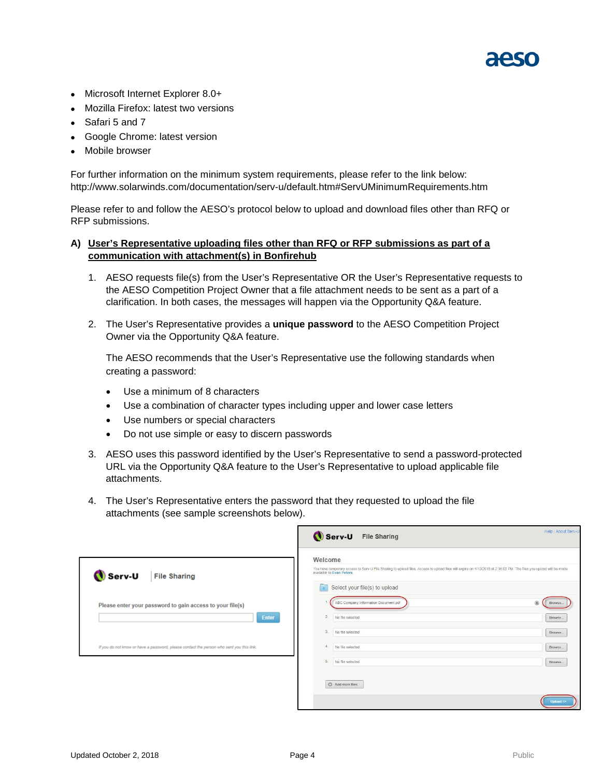

- Microsoft Internet Explorer 8.0+
- Mozilla Firefox: latest two versions
- Safari 5 and 7
- Google Chrome: latest version
- Mobile browser

For further information on the minimum system requirements, please refer to the link below: http://www.solarwinds.com/documentation/serv-u/default.htm#ServUMinimumRequirements.htm

Please refer to and follow the AESO's protocol below to upload and download files other than RFQ or RFP submissions.

# **A) User's Representative uploading files other than RFQ or RFP submissions as part of a communication with attachment(s) in Bonfirehub**

- 1. AESO requests file(s) from the User's Representative OR the User's Representative requests to the AESO Competition Project Owner that a file attachment needs to be sent as a part of a clarification. In both cases, the messages will happen via the Opportunity Q&A feature.
- 2. The User's Representative provides a **unique password** to the AESO Competition Project Owner via the Opportunity Q&A feature.

The AESO recommends that the User's Representative use the following standards when creating a password:

- Use a minimum of 8 characters
- Use a combination of character types including upper and lower case letters
- Use numbers or special characters
- Do not use simple or easy to discern passwords
- 3. AESO uses this password identified by the User's Representative to send a password-protected URL via the Opportunity Q&A feature to the User's Representative to upload applicable file attachments.
- 4. The User's Representative enters the password that they requested to upload the file attachments (see sample screenshots below).

| Welcome<br>You have temporary access to Serv-U File Sharing to upload files. Access to upload files will expire on 4/10/2018 at 2:36:00 PM. The files you upload will be made<br>available to Evan Peters.<br><b>File Sharing</b><br>Select your file(s) to upload<br>ABC Company Information Document.pdf<br>œ<br>Browse.<br>Enter<br>2.<br>No file selected<br>Browse<br>3.<br>No file selected<br>Browse<br>A.<br>No file selected<br>Browse<br>5.<br>No file selected<br>Browse |                                                                                          | Help   About Serv-U<br>Serv-U File Sharing |
|-------------------------------------------------------------------------------------------------------------------------------------------------------------------------------------------------------------------------------------------------------------------------------------------------------------------------------------------------------------------------------------------------------------------------------------------------------------------------------------|------------------------------------------------------------------------------------------|--------------------------------------------|
|                                                                                                                                                                                                                                                                                                                                                                                                                                                                                     |                                                                                          |                                            |
|                                                                                                                                                                                                                                                                                                                                                                                                                                                                                     | Serv-U                                                                                   |                                            |
|                                                                                                                                                                                                                                                                                                                                                                                                                                                                                     |                                                                                          |                                            |
|                                                                                                                                                                                                                                                                                                                                                                                                                                                                                     | Please enter your password to gain access to your file(s)                                |                                            |
|                                                                                                                                                                                                                                                                                                                                                                                                                                                                                     |                                                                                          |                                            |
|                                                                                                                                                                                                                                                                                                                                                                                                                                                                                     |                                                                                          |                                            |
|                                                                                                                                                                                                                                                                                                                                                                                                                                                                                     | If you do not know or have a password, please contact the person who sent you this link. |                                            |
|                                                                                                                                                                                                                                                                                                                                                                                                                                                                                     |                                                                                          |                                            |
|                                                                                                                                                                                                                                                                                                                                                                                                                                                                                     |                                                                                          | Add more files                             |
|                                                                                                                                                                                                                                                                                                                                                                                                                                                                                     |                                                                                          | Upload $\gg$                               |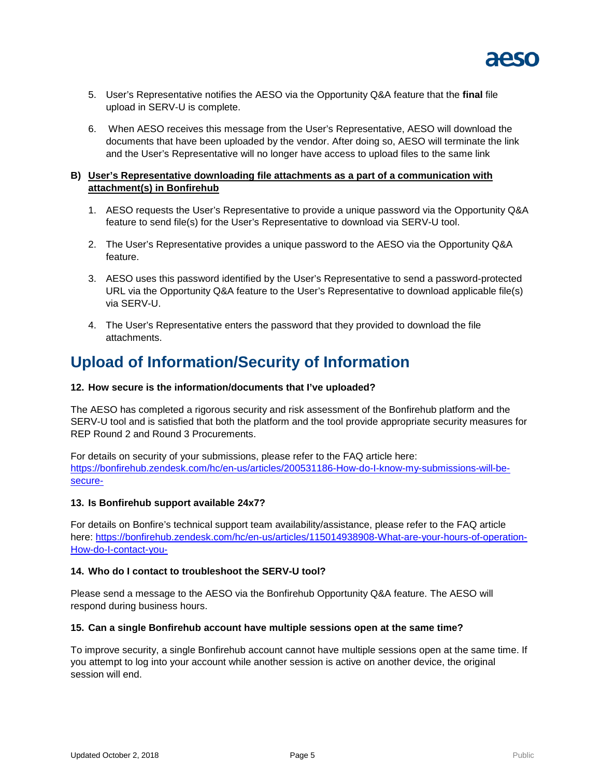

- 5. User's Representative notifies the AESO via the Opportunity Q&A feature that the **final** file upload in SERV-U is complete.
- 6. When AESO receives this message from the User's Representative, AESO will download the documents that have been uploaded by the vendor. After doing so, AESO will terminate the link and the User's Representative will no longer have access to upload files to the same link

### **B) User's Representative downloading file attachments as a part of a communication with attachment(s) in Bonfirehub**

- 1. AESO requests the User's Representative to provide a unique password via the Opportunity Q&A feature to send file(s) for the User's Representative to download via SERV-U tool.
- 2. The User's Representative provides a unique password to the AESO via the Opportunity Q&A feature.
- 3. AESO uses this password identified by the User's Representative to send a password-protected URL via the Opportunity Q&A feature to the User's Representative to download applicable file(s) via SERV-U.
- 4. The User's Representative enters the password that they provided to download the file attachments.

# **Upload of Information/Security of Information**

# **12. How secure is the information/documents that I've uploaded?**

The AESO has completed a rigorous security and risk assessment of the Bonfirehub platform and the SERV-U tool and is satisfied that both the platform and the tool provide appropriate security measures for REP Round 2 and Round 3 Procurements.

For details on security of your submissions, please refer to the FAQ article here: [https://bonfirehub.zendesk.com/hc/en-us/articles/200531186-How-do-I-know-my-submissions-will-be](https://bonfirehub.zendesk.com/hc/en-us/articles/200531186-How-do-I-know-my-submissions-will-be-secure-)[secure-](https://bonfirehub.zendesk.com/hc/en-us/articles/200531186-How-do-I-know-my-submissions-will-be-secure-)

### **13. Is Bonfirehub support available 24x7?**

For details on Bonfire's technical support team availability/assistance, please refer to the FAQ article here: [https://bonfirehub.zendesk.com/hc/en-us/articles/115014938908-What-are-your-hours-of-operation-](https://bonfirehub.zendesk.com/hc/en-us/articles/115014938908-What-are-your-hours-of-operation-How-do-I-contact-you-)[How-do-I-contact-you-](https://bonfirehub.zendesk.com/hc/en-us/articles/115014938908-What-are-your-hours-of-operation-How-do-I-contact-you-)

### **14. Who do I contact to troubleshoot the SERV-U tool?**

Please send a message to the AESO via the Bonfirehub Opportunity Q&A feature. The AESO will respond during business hours.

### **15. Can a single Bonfirehub account have multiple sessions open at the same time?**

To improve security, a single Bonfirehub account cannot have multiple sessions open at the same time. If you attempt to log into your account while another session is active on another device, the original session will end.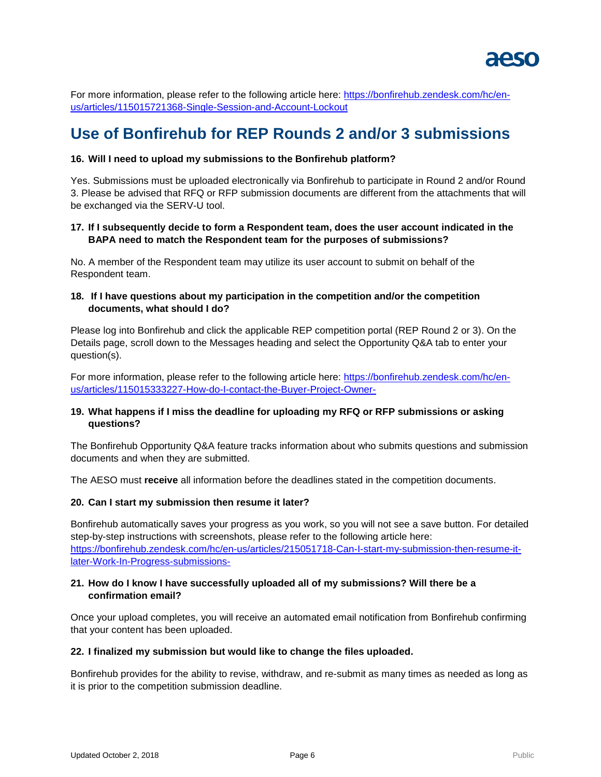For more information, please refer to the following article here: [https://bonfirehub.zendesk.com/hc/en](https://bonfirehub.zendesk.com/hc/en-us/articles/115015721368-Single-Session-and-Account-Lockout)[us/articles/115015721368-Single-Session-and-Account-Lockout](https://bonfirehub.zendesk.com/hc/en-us/articles/115015721368-Single-Session-and-Account-Lockout)

# **Use of Bonfirehub for REP Rounds 2 and/or 3 submissions**

# **16. Will I need to upload my submissions to the Bonfirehub platform?**

Yes. Submissions must be uploaded electronically via Bonfirehub to participate in Round 2 and/or Round 3. Please be advised that RFQ or RFP submission documents are different from the attachments that will be exchanged via the SERV-U tool.

# **17. If I subsequently decide to form a Respondent team, does the user account indicated in the BAPA need to match the Respondent team for the purposes of submissions?**

No. A member of the Respondent team may utilize its user account to submit on behalf of the Respondent team.

# **18. If I have questions about my participation in the competition and/or the competition documents, what should I do?**

Please log into Bonfirehub and click the applicable REP competition portal (REP Round 2 or 3). On the Details page, scroll down to the Messages heading and select the Opportunity Q&A tab to enter your question(s).

For more information, please refer to the following article here: [https://bonfirehub.zendesk.com/hc/en](https://bonfirehub.zendesk.com/hc/en-us/articles/115015333227-How-do-I-contact-the-Buyer-Project-Owner-)[us/articles/115015333227-How-do-I-contact-the-Buyer-Project-Owner-](https://bonfirehub.zendesk.com/hc/en-us/articles/115015333227-How-do-I-contact-the-Buyer-Project-Owner-)

# **19. What happens if I miss the deadline for uploading my RFQ or RFP submissions or asking questions?**

The Bonfirehub Opportunity Q&A feature tracks information about who submits questions and submission documents and when they are submitted.

The AESO must **receive** all information before the deadlines stated in the competition documents.

### **20. Can I start my submission then resume it later?**

Bonfirehub automatically saves your progress as you work, so you will not see a save button. For detailed step-by-step instructions with screenshots, please refer to the following article here: [https://bonfirehub.zendesk.com/hc/en-us/articles/215051718-Can-I-start-my-submission-then-resume-it](https://bonfirehub.zendesk.com/hc/en-us/articles/215051718-Can-I-start-my-submission-then-resume-it-later-Work-In-Progress-submissions-)[later-Work-In-Progress-submissions-](https://bonfirehub.zendesk.com/hc/en-us/articles/215051718-Can-I-start-my-submission-then-resume-it-later-Work-In-Progress-submissions-)

# **21. How do I know I have successfully uploaded all of my submissions? Will there be a confirmation email?**

Once your upload completes, you will receive an automated email notification from Bonfirehub confirming that your content has been uploaded.

### **22. I finalized my submission but would like to change the files uploaded.**

Bonfirehub provides for the ability to revise, withdraw, and re-submit as many times as needed as long as it is prior to the competition submission deadline.